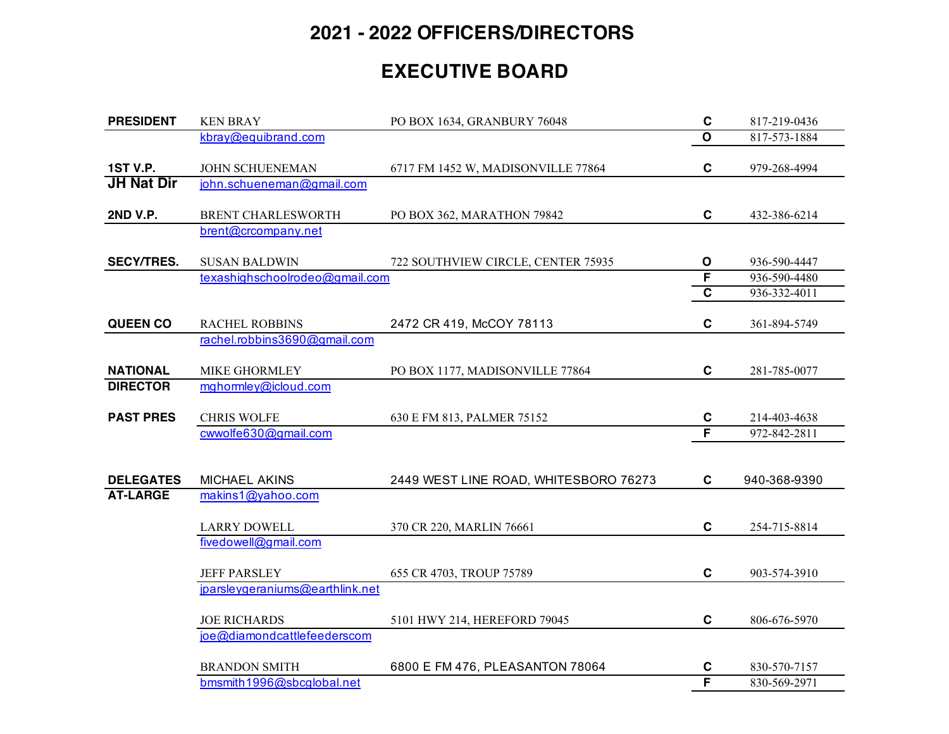## **2021 - 2022 OFFICERS/DIRECTORS**

## **EXECUTIVE BOARD**

| <b>PRESIDENT</b>                     | <b>KEN BRAY</b>                              | PO BOX 1634, GRANBURY 76048           | $\mathbf C$             | 817-219-0436 |
|--------------------------------------|----------------------------------------------|---------------------------------------|-------------------------|--------------|
|                                      | kbray@equibrand.com                          |                                       | $\overline{o}$          | 817-573-1884 |
| <b>1ST V.P.</b><br><b>JH Nat Dir</b> | JOHN SCHUENEMAN<br>john.schueneman@gmail.com | 6717 FM 1452 W, MADISONVILLE 77864    | $\mathbf c$             | 979-268-4994 |
|                                      |                                              |                                       |                         |              |
| <b>2ND V.P.</b>                      | <b>BRENT CHARLESWORTH</b>                    | PO BOX 362, MARATHON 79842            | $\mathbf c$             | 432-386-6214 |
|                                      | brent@crcompany.net                          |                                       |                         |              |
| <b>SECY/TRES.</b>                    | <b>SUSAN BALDWIN</b>                         | 722 SOUTHVIEW CIRCLE, CENTER 75935    | $\mathbf{o}$            | 936-590-4447 |
|                                      | texashighschoolrodeo@gmail.com               |                                       | F                       | 936-590-4480 |
|                                      |                                              |                                       | $\overline{\mathbf{c}}$ | 936-332-4011 |
| <b>QUEEN CO</b>                      | <b>RACHEL ROBBINS</b>                        | 2472 CR 419, McCOY 78113              | $\mathbf c$             | 361-894-5749 |
|                                      | rachel.robbins3690@gmail.com                 |                                       |                         |              |
| <b>NATIONAL</b>                      | MIKE GHORMLEY                                | PO BOX 1177, MADISONVILLE 77864       | $\mathbf c$             | 281-785-0077 |
| <b>DIRECTOR</b>                      | mghormley@icloud.com                         |                                       |                         |              |
| <b>PAST PRES</b>                     | <b>CHRIS WOLFE</b>                           | 630 E FM 813, PALMER 75152            | C                       | 214-403-4638 |
|                                      | cwwolfe630@gmail.com                         |                                       | F                       | 972-842-2811 |
|                                      |                                              |                                       |                         |              |
| <b>DELEGATES</b>                     | <b>MICHAEL AKINS</b>                         | 2449 WEST LINE ROAD, WHITESBORO 76273 | C                       | 940-368-9390 |
| <b>AT-LARGE</b>                      | makins1@yahoo.com                            |                                       |                         |              |
|                                      | <b>LARRY DOWELL</b>                          | 370 CR 220, MARLIN 76661              | $\mathbf c$             | 254-715-8814 |
|                                      | fivedowell@gmail.com                         |                                       |                         |              |
|                                      | <b>JEFF PARSLEY</b>                          | 655 CR 4703, TROUP 75789              | $\mathbf c$             | 903-574-3910 |
|                                      | jparsleygeraniums@earthlink.net              |                                       |                         |              |
|                                      | <b>JOE RICHARDS</b>                          | 5101 HWY 214, HEREFORD 79045          | $\mathbf c$             | 806-676-5970 |
|                                      | joe@diamondcattlefeederscom                  |                                       |                         |              |
|                                      | <b>BRANDON SMITH</b>                         | 6800 E FM 476, PLEASANTON 78064       | C                       | 830-570-7157 |
|                                      | bmsmith1996@sbcglobal.net                    |                                       | F                       | 830-569-2971 |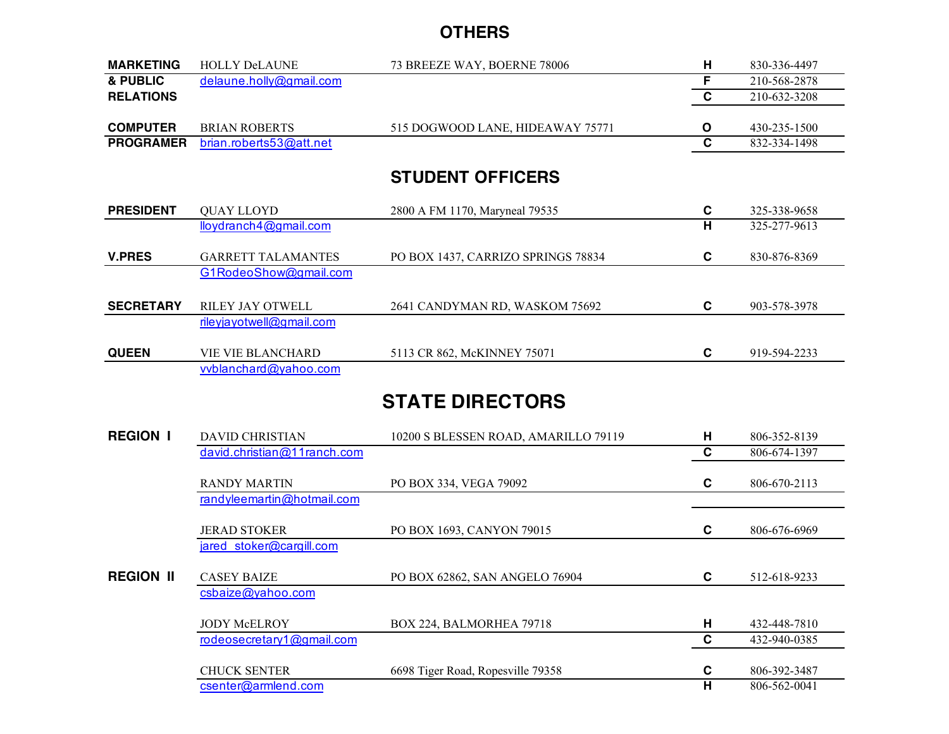## **OTHERS**

| <b>MARKETING</b> | <b>HOLLY DeLAUNE</b>      | 73 BREEZE WAY, BOERNE 78006        | н            | 830-336-4497 |
|------------------|---------------------------|------------------------------------|--------------|--------------|
| & PUBLIC         | delaune.holly@gmail.com   |                                    | F            | 210-568-2878 |
| <b>RELATIONS</b> |                           |                                    | $\mathbf{C}$ | 210-632-3208 |
|                  |                           |                                    |              |              |
| <b>COMPUTER</b>  | <b>BRIAN ROBERTS</b>      | 515 DOGWOOD LANE, HIDEAWAY 75771   | O            | 430-235-1500 |
| <b>PROGRAMER</b> | brian.roberts53@att.net   |                                    | $\mathbf c$  | 832-334-1498 |
|                  |                           |                                    |              |              |
|                  |                           | <b>STUDENT OFFICERS</b>            |              |              |
|                  |                           |                                    |              |              |
| <b>PRESIDENT</b> | <b>QUAY LLOYD</b>         | 2800 A FM 1170, Maryneal 79535     | C            | 325-338-9658 |
|                  | lloydranch4@gmail.com     |                                    | н            | 325-277-9613 |
|                  |                           |                                    |              |              |
| <b>V.PRES</b>    | <b>GARRETT TALAMANTES</b> | PO BOX 1437, CARRIZO SPRINGS 78834 | C            | 830-876-8369 |
|                  | G1RodeoShow@gmail.com     |                                    |              |              |
|                  |                           |                                    |              |              |
| <b>SECRETARY</b> | RILEY JAY OTWELL          | 2641 CANDYMAN RD, WASKOM 75692     | C            | 903-578-3978 |
|                  | rileyjayotwell@gmail.com  |                                    |              |              |
|                  |                           |                                    |              |              |
| <b>QUEEN</b>     | <b>VIE VIE BLANCHARD</b>  | 5113 CR 862, McKINNEY 75071        | C            | 919-594-2233 |
|                  | vvblanchard@yahoo.com     |                                    |              |              |

## **STATE DIRECTORS**

| <b>REGION I</b>  | <b>DAVID CHRISTIAN</b>      | 10200 S BLESSEN ROAD, AMARILLO 79119 | H | 806-352-8139 |
|------------------|-----------------------------|--------------------------------------|---|--------------|
|                  | david.christian@11ranch.com |                                      | C | 806-674-1397 |
|                  | <b>RANDY MARTIN</b>         | PO BOX 334, VEGA 79092               | C | 806-670-2113 |
|                  | randyleemartin@hotmail.com  |                                      |   |              |
|                  | <b>JERAD STOKER</b>         | PO BOX 1693, CANYON 79015            | C | 806-676-6969 |
|                  | jared stoker@cargill.com    |                                      |   |              |
| <b>REGION II</b> | <b>CASEY BAIZE</b>          | PO BOX 62862, SAN ANGELO 76904       | C | 512-618-9233 |
|                  | csbaize@yahoo.com           |                                      |   |              |
|                  | <b>JODY McELROY</b>         | BOX 224, BALMORHEA 79718             | н | 432-448-7810 |
|                  | rodeosecretary1@gmail.com   |                                      | C | 432-940-0385 |
|                  | <b>CHUCK SENTER</b>         | 6698 Tiger Road, Ropesville 79358    | C | 806-392-3487 |
|                  | csenter@armlend.com         |                                      | н | 806-562-0041 |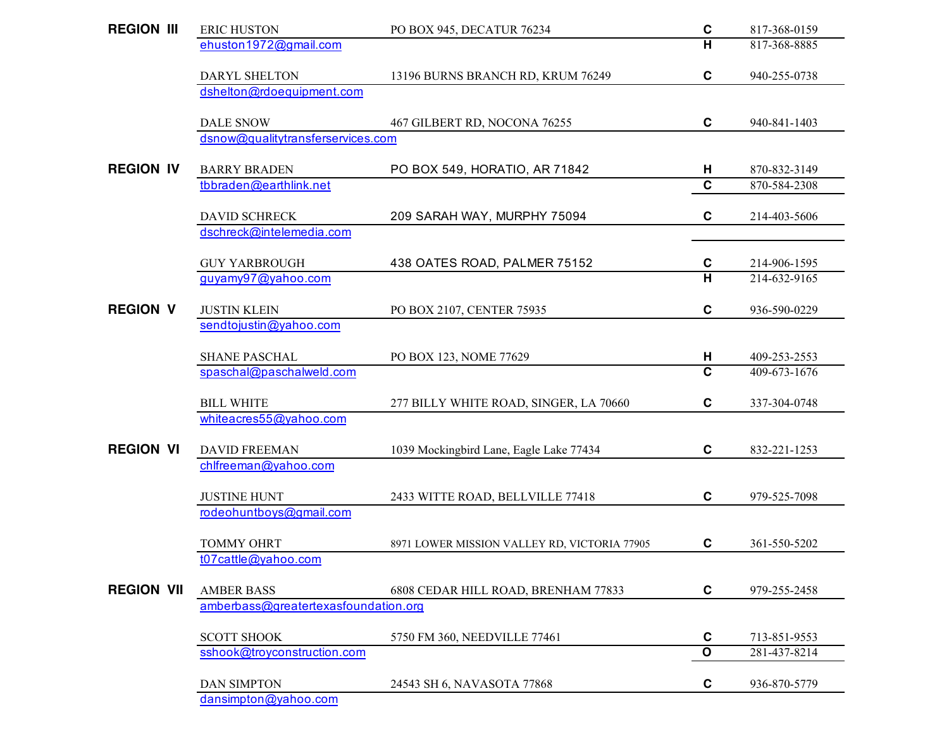| <b>REGION III</b> | <b>ERIC HUSTON</b>                   | PO BOX 945, DECATUR 76234                    | $\mathbf c$             | 817-368-0159 |
|-------------------|--------------------------------------|----------------------------------------------|-------------------------|--------------|
|                   | ehuston1972@gmail.com                |                                              | н                       | 817-368-8885 |
|                   | DARYL SHELTON                        | 13196 BURNS BRANCH RD, KRUM 76249            | $\mathbf c$             | 940-255-0738 |
|                   | dshelton@rdoequipment.com            |                                              |                         |              |
|                   | <b>DALE SNOW</b>                     | 467 GILBERT RD, NOCONA 76255                 | C                       | 940-841-1403 |
|                   | dsnow@qualitytransferservices.com    |                                              |                         |              |
| <b>REGION IV</b>  | <b>BARRY BRADEN</b>                  | PO BOX 549, HORATIO, AR 71842                | н                       | 870-832-3149 |
|                   | tbbraden@earthlink.net               |                                              | $\overline{\mathbf{c}}$ | 870-584-2308 |
|                   | <b>DAVID SCHRECK</b>                 | 209 SARAH WAY, MURPHY 75094                  | C                       | 214-403-5606 |
|                   | dschreck@intelemedia.com             |                                              |                         |              |
|                   | <b>GUY YARBROUGH</b>                 | 438 OATES ROAD, PALMER 75152                 | C                       | 214-906-1595 |
|                   | guyamy97@yahoo.com                   |                                              | H                       | 214-632-9165 |
| <b>REGION V</b>   | <b>JUSTIN KLEIN</b>                  | PO BOX 2107, CENTER 75935                    | $\mathbf c$             | 936-590-0229 |
|                   | sendtojustin@yahoo.com               |                                              |                         |              |
|                   | <b>SHANE PASCHAL</b>                 | PO BOX 123, NOME 77629                       | н                       | 409-253-2553 |
|                   | spaschal@paschalweld.com             |                                              | $\mathbf c$             | 409-673-1676 |
|                   | <b>BILL WHITE</b>                    | 277 BILLY WHITE ROAD, SINGER, LA 70660       | C                       | 337-304-0748 |
|                   | whiteacres55@yahoo.com               |                                              |                         |              |
| <b>REGION VI</b>  | <b>DAVID FREEMAN</b>                 | 1039 Mockingbird Lane, Eagle Lake 77434      | $\mathbf c$             | 832-221-1253 |
|                   | chlfreeman@yahoo.com                 |                                              |                         |              |
|                   | <b>JUSTINE HUNT</b>                  | 2433 WITTE ROAD, BELLVILLE 77418             | C                       | 979-525-7098 |
|                   | rodeohuntboys@gmail.com              |                                              |                         |              |
|                   | <b>TOMMY OHRT</b>                    | 8971 LOWER MISSION VALLEY RD, VICTORIA 77905 | C                       | 361-550-5202 |
|                   | t07cattle@yahoo.com                  |                                              |                         |              |
| <b>REGION VII</b> | <b>AMBER BASS</b>                    | 6808 CEDAR HILL ROAD, BRENHAM 77833          | C                       | 979-255-2458 |
|                   | amberbass@greatertexasfoundation.org |                                              |                         |              |
|                   | <b>SCOTT SHOOK</b>                   | 5750 FM 360, NEEDVILLE 77461                 | $\mathbf c$             | 713-851-9553 |
|                   | sshook@troyconstruction.com          |                                              | $\overline{\mathbf{o}}$ | 281-437-8214 |
|                   | <b>DAN SIMPTON</b>                   | 24543 SH 6, NAVASOTA 77868                   | C                       | 936-870-5779 |
|                   | dansimpton@yahoo.com                 |                                              |                         |              |